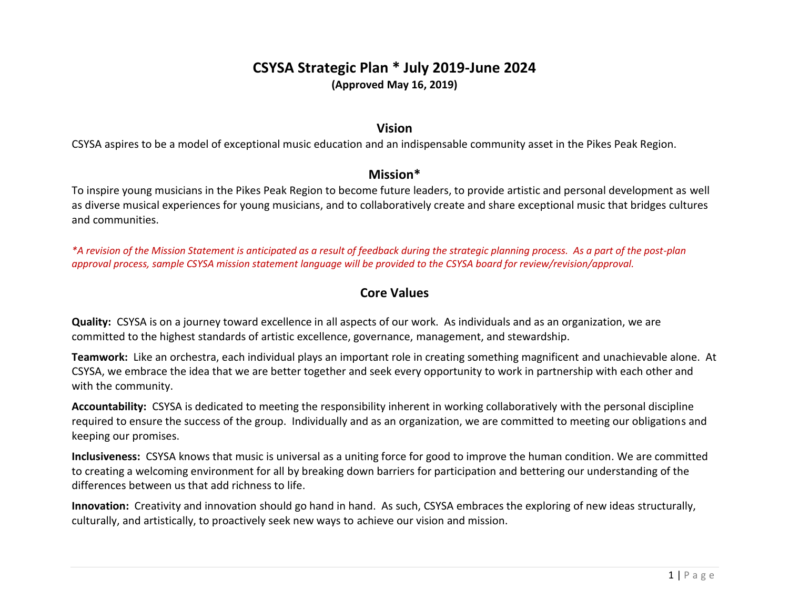# **CSYSA Strategic Plan \* July 2019-June 2024 (Approved May 16, 2019)**

## **Vision**

CSYSA aspires to be a model of exceptional music education and an indispensable community asset in the Pikes Peak Region.

## **Mission\***

To inspire young musicians in the Pikes Peak Region to become future leaders, to provide artistic and personal development as well as diverse musical experiences for young musicians, and to collaboratively create and share exceptional music that bridges cultures and communities.

*\*A revision of the Mission Statement is anticipated as a result of feedback during the strategic planning process. As a part of the post-plan approval process, sample CSYSA mission statement language will be provided to the CSYSA board for review/revision/approval.*

## **Core Values**

**Quality:** CSYSA is on a journey toward excellence in all aspects of our work. As individuals and as an organization, we are committed to the highest standards of artistic excellence, governance, management, and stewardship.

**Teamwork:** Like an orchestra, each individual plays an important role in creating something magnificent and unachievable alone. At CSYSA, we embrace the idea that we are better together and seek every opportunity to work in partnership with each other and with the community.

**Accountability:** CSYSA is dedicated to meeting the responsibility inherent in working collaboratively with the personal discipline required to ensure the success of the group. Individually and as an organization, we are committed to meeting our obligations and keeping our promises.

**Inclusiveness:** CSYSA knows that music is universal as a uniting force for good to improve the human condition. We are committed to creating a welcoming environment for all by breaking down barriers for participation and bettering our understanding of the differences between us that add richness to life.

**Innovation:** Creativity and innovation should go hand in hand. As such, CSYSA embraces the exploring of new ideas structurally, culturally, and artistically, to proactively seek new ways to achieve our vision and mission.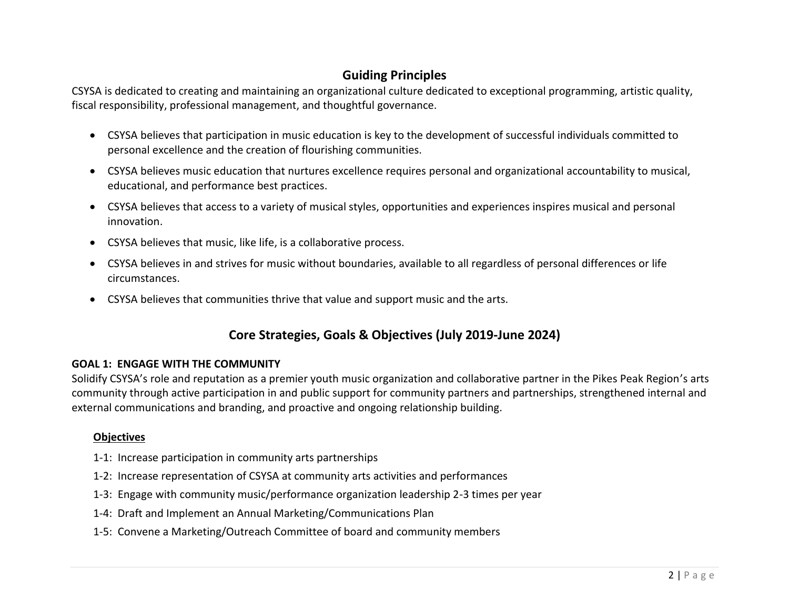# **Guiding Principles**

CSYSA is dedicated to creating and maintaining an organizational culture dedicated to exceptional programming, artistic quality, fiscal responsibility, professional management, and thoughtful governance.

- CSYSA believes that participation in music education is key to the development of successful individuals committed to personal excellence and the creation of flourishing communities.
- CSYSA believes music education that nurtures excellence requires personal and organizational accountability to musical, educational, and performance best practices.
- CSYSA believes that access to a variety of musical styles, opportunities and experiences inspires musical and personal innovation.
- CSYSA believes that music, like life, is a collaborative process.
- CSYSA believes in and strives for music without boundaries, available to all regardless of personal differences or life circumstances.
- CSYSA believes that communities thrive that value and support music and the arts.

# **Core Strategies, Goals & Objectives (July 2019-June 2024)**

#### **GOAL 1: ENGAGE WITH THE COMMUNITY**

Solidify CSYSA's role and reputation as a premier youth music organization and collaborative partner in the Pikes Peak Region's arts community through active participation in and public support for community partners and partnerships, strengthened internal and external communications and branding, and proactive and ongoing relationship building.

## **Objectives**

- 1-1: Increase participation in community arts partnerships
- 1-2: Increase representation of CSYSA at community arts activities and performances
- 1-3: Engage with community music/performance organization leadership 2-3 times per year
- 1-4: Draft and Implement an Annual Marketing/Communications Plan
- 1-5: Convene a Marketing/Outreach Committee of board and community members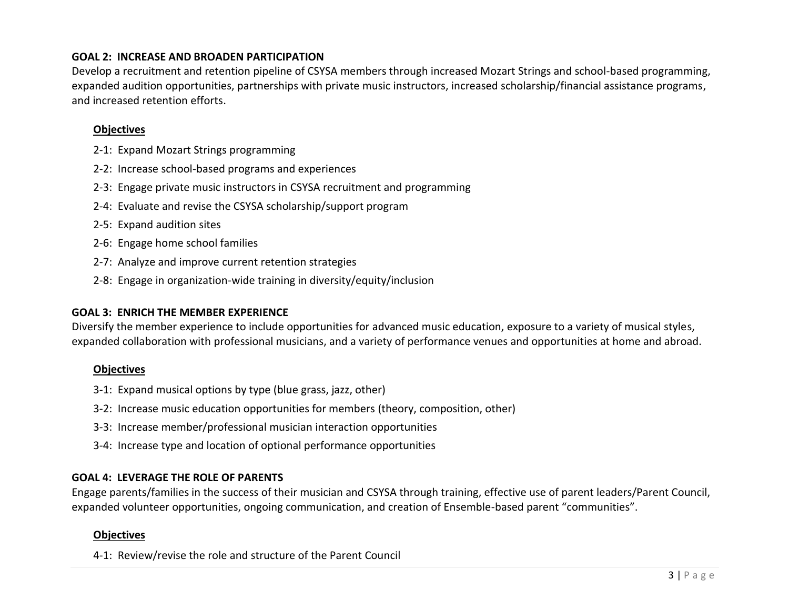#### **GOAL 2: INCREASE AND BROADEN PARTICIPATION**

Develop a recruitment and retention pipeline of CSYSA members through increased Mozart Strings and school-based programming, expanded audition opportunities, partnerships with private music instructors, increased scholarship/financial assistance programs, and increased retention efforts.

#### **Objectives**

- 2-1: Expand Mozart Strings programming
- 2-2: Increase school-based programs and experiences
- 2-3: Engage private music instructors in CSYSA recruitment and programming
- 2-4: Evaluate and revise the CSYSA scholarship/support program
- 2-5: Expand audition sites
- 2-6: Engage home school families
- 2-7: Analyze and improve current retention strategies
- 2-8: Engage in organization-wide training in diversity/equity/inclusion

#### **GOAL 3: ENRICH THE MEMBER EXPERIENCE**

Diversify the member experience to include opportunities for advanced music education, exposure to a variety of musical styles, expanded collaboration with professional musicians, and a variety of performance venues and opportunities at home and abroad.

## **Objectives**

- 3-1: Expand musical options by type (blue grass, jazz, other)
- 3-2: Increase music education opportunities for members (theory, composition, other)
- 3-3: Increase member/professional musician interaction opportunities
- 3-4: Increase type and location of optional performance opportunities

## **GOAL 4: LEVERAGE THE ROLE OF PARENTS**

Engage parents/families in the success of their musician and CSYSA through training, effective use of parent leaders/Parent Council, expanded volunteer opportunities, ongoing communication, and creation of Ensemble-based parent "communities".

## **Objectives**

4-1: Review/revise the role and structure of the Parent Council